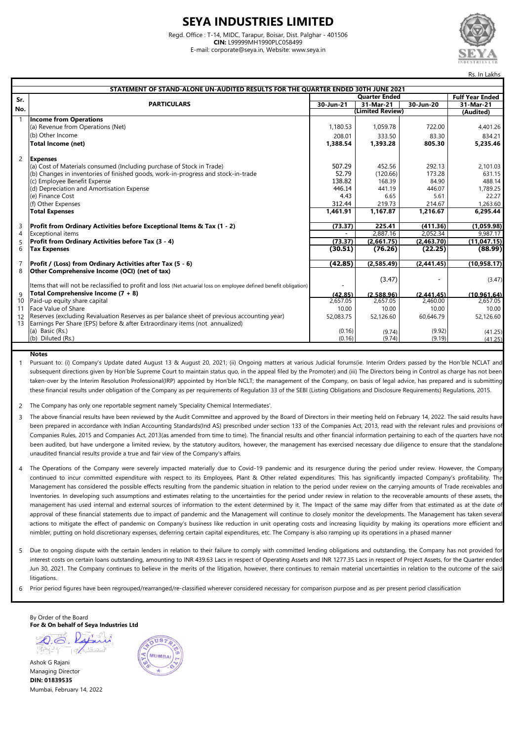#### **SEYA INDUSTRIES LIMITED**

Regd. Office : T-14, MIDC, Tarapur, Boisar, Dist. Palghar - 401506 **CIN:** L99999MH1990PLC058499 E-mail: corporate@seya.in, Website: www.seya.in



| STATEMENT OF STAND-ALONE UN-AUDITED RESULTS FOR THE QUARTER ENDED 30TH JUNE 2021 |                                                                                                                                                                            |                      |                  |            |                        |
|----------------------------------------------------------------------------------|----------------------------------------------------------------------------------------------------------------------------------------------------------------------------|----------------------|------------------|------------|------------------------|
| Sr.                                                                              |                                                                                                                                                                            | <b>Quarter Ended</b> |                  |            | <b>Fulf Year Ended</b> |
|                                                                                  | <b>PARTICULARS</b>                                                                                                                                                         | 30-Jun-21            | $31$ -Mar-21     | 30-Jun-20  | 31-Mar-21              |
| No.                                                                              |                                                                                                                                                                            |                      | (Limited Review) |            | (Audited)              |
|                                                                                  | <b>Income from Operations</b>                                                                                                                                              |                      |                  |            |                        |
|                                                                                  | (a) Revenue from Operations (Net)                                                                                                                                          | 1,180.53             | 1,059.78         | 722.00     | 4,401.26               |
|                                                                                  | (b) Other Income                                                                                                                                                           | 208.01               | 333.50           | 83.30      | 834.21                 |
|                                                                                  | Total Income (net)                                                                                                                                                         | 1,388.54             | 1,393.28         | 805.30     | 5,235.46               |
| $\overline{2}$                                                                   | <b>Expenses</b>                                                                                                                                                            |                      |                  |            |                        |
|                                                                                  | (a) Cost of Materials consumed (Including purchase of Stock in Trade)                                                                                                      | 507.29               | 452.56           | 292.13     | 2,101.03               |
|                                                                                  | (b) Changes in inventories of finished goods, work-in-progress and stock-in-trade                                                                                          | 52.79                | (120.66)         | 173.28     | 631.15                 |
|                                                                                  | (c) Employee Benefit Expense                                                                                                                                               | 138.82               | 168.39           | 84.90      | 488.14                 |
|                                                                                  | (d) Depreciation and Amortisation Expense                                                                                                                                  | 446.14               | 441.19           | 446.07     | 1,789.25               |
|                                                                                  | (e) Finance Cost                                                                                                                                                           | 4.43                 | 6.65             | 5.61       | 22.27                  |
|                                                                                  | (f) Other Expenses                                                                                                                                                         | 312.44               | 219.73           | 214.67     | 1.263.60               |
|                                                                                  | <b>Total Expenses</b>                                                                                                                                                      | 1.461.91             | 1.167.87         | 1.216.67   | 6.295.44               |
| 3                                                                                | Profit from Ordinary Activities before Exceptional Items & Tax (1 - 2)                                                                                                     | (73.37)              | 225.41           | (411.36)   | (1,059.98)             |
| 4                                                                                | <b>Exceptional items</b>                                                                                                                                                   |                      | 2,887.16         | 2.052.34   | 9.987.17               |
| 5                                                                                | Profit from Ordinary Activities before Tax (3 - 4)                                                                                                                         | (73.37)              | (2,661.75)       | (2,463.70) | (11, 047.15)           |
| 6                                                                                | <b>Tax Expenses</b>                                                                                                                                                        | (30.51)              | (76.26)          | (22.25)    | (88.99)                |
| 7                                                                                | Profit / (Loss) from Ordinary Activities after Tax (5 - 6)                                                                                                                 | (42.85)              | (2,585.49)       | (2,441.45) | (10, 958.17)           |
| 8                                                                                | Other Comprehensive Income (OCI) (net of tax)                                                                                                                              |                      |                  |            |                        |
|                                                                                  | Items that will not be reclassified to profit and loss (Net actuarial loss on employee defined benefit obligation)                                                         |                      | (3.47)           |            | (3.47)                 |
| 9                                                                                | Total Comprehensive Income (7 + 8)                                                                                                                                         | (42.85)              | (2.588.96)       | (2.441.45) | (10.961.64)            |
| 10 <sup>°</sup>                                                                  | Paid-up equity share capital                                                                                                                                               | 2,657.05             | 2,657.05         | 2,460.00   | $2,65\overline{7.05}$  |
| 11                                                                               | Face Value of Share                                                                                                                                                        | 10.00                | 10.00            | 10.00      | 10.00                  |
| 12<br>13                                                                         | Reserves (excluding Revaluation Reserves as per balance sheet of previous accounting year)<br>Earnings Per Share (EPS) before & after Extraordinary items (not annualized) | 52,083.75            | 52,126.60        | 60,646.79  | 52,126.60              |
|                                                                                  | (a) Basic (Rs.)                                                                                                                                                            | (0.16)               | (9.74)           | (9.92)     | (41.25)                |
|                                                                                  | (b) Diluted (Rs.)                                                                                                                                                          | (0.16)               | (9.74)           | (9.19)     | (41.25)                |
|                                                                                  |                                                                                                                                                                            |                      |                  |            |                        |

#### **Notes**

1 Pursuant to: (i) Company's Update dated August 13 & August 20, 2021; (ii) Ongoing matters at various Judicial forums(ie. Interim Orders passed by the Hon'ble NCLAT and subsequent directions given by Hon'ble Supreme Court to maintain status quo, in the appeal filed by the Promoter) and (iii) The Directors being in Control as charge has not been taken-over by the Interim Resolution Professional(IRP) appointed by Hon'ble NCLT; the management of the Company, on basis of legal advice, has prepared and is submitting these financial results under obligation of the Company as per requirements of Regulation 33 of the SEBI (Listing Obligations and Disclosure Requirements) Regulations, 2015.

 $\overline{2}$ The Company has only one reportable segment namely 'Speciality Chemical Intermediates'.

- 3 The above financial results have been reviewed by the Audit Committee and approved by the Board of Directors in their meeting held on February 14, 2022. The said results have been prepared in accordance with Indian Accounting Standards(Ind AS) prescribed under section 133 of the Companies Act, 2013, read with the relevant rules and provisions of Companies Rules, 2015 and Companies Act, 2013(as amended from time to time). The financial results and other financial information pertaining to each of the quarters have not been audited, but have undergone a limited review, by the statutory auditors, however, the management has exercised necessary due diligence to ensure that the standalone unaudited financial results provide a true and fair view of the Company's affairs.
- 4 The Operations of the Company were severely impacted materially due to Covid-19 pandemic and its resurgence during the period under review. However, the Company continued to incur committed expenditure with respect to its Employees, Plant & Other related expenditures. This has significantly impacted Company's profitability. The Management has considered the possible effects resulting from the pandemic situation in relation to the period under review on the carrying amounts of Trade receivables and Inventories. In developing such assumptions and estimates relating to the uncertainties for the period under review in relation to the recoverable amounts of these assets, the management has used internal and external sources of information to the extent determined by it. The Impact of the same may differ from that estimated as at the date of approval of these financial statements due to impact of pandemic and the Management will continue to closely monitor the developments. The Management has taken several actions to mitigate the effect of pandemic on Company's business like reduction in unit operating costs and increasing liquidity by making its operations more efficient and nimbler, putting on hold discretionary expenses, deferring certain capital expenditures, etc. The Company is also ramping up its operations in a phased manner
- 5 Due to ongoing dispute with the certain lenders in relation to their failure to comply with committed lending obligations and outstanding, the Company has not provided for interest costs on certain loans outstanding, amounting to INR 439.63 Lacs in respect of Operating Assets and INR 1277.35 Lacs in respect of Project Assets, for the Quarter ended Jun 30, 2021. The Company continues to believe in the merits of the litigation, however, there continues to remain material uncertainties in relation to the outcome of the said **litigations.**
- 6 Prior period figures have been regrouped/rearranged/re-classified wherever considered necessary for comparison purpose and as per present period classification

By Order of the Board **For & On behalf of Seya Industries Ltd**

 $Q_{\cdot}$   $Q_{\cdot}$ Ashok G Rajani

Managing Director **DIN: 01839535** Mumbai, February 14, 2022